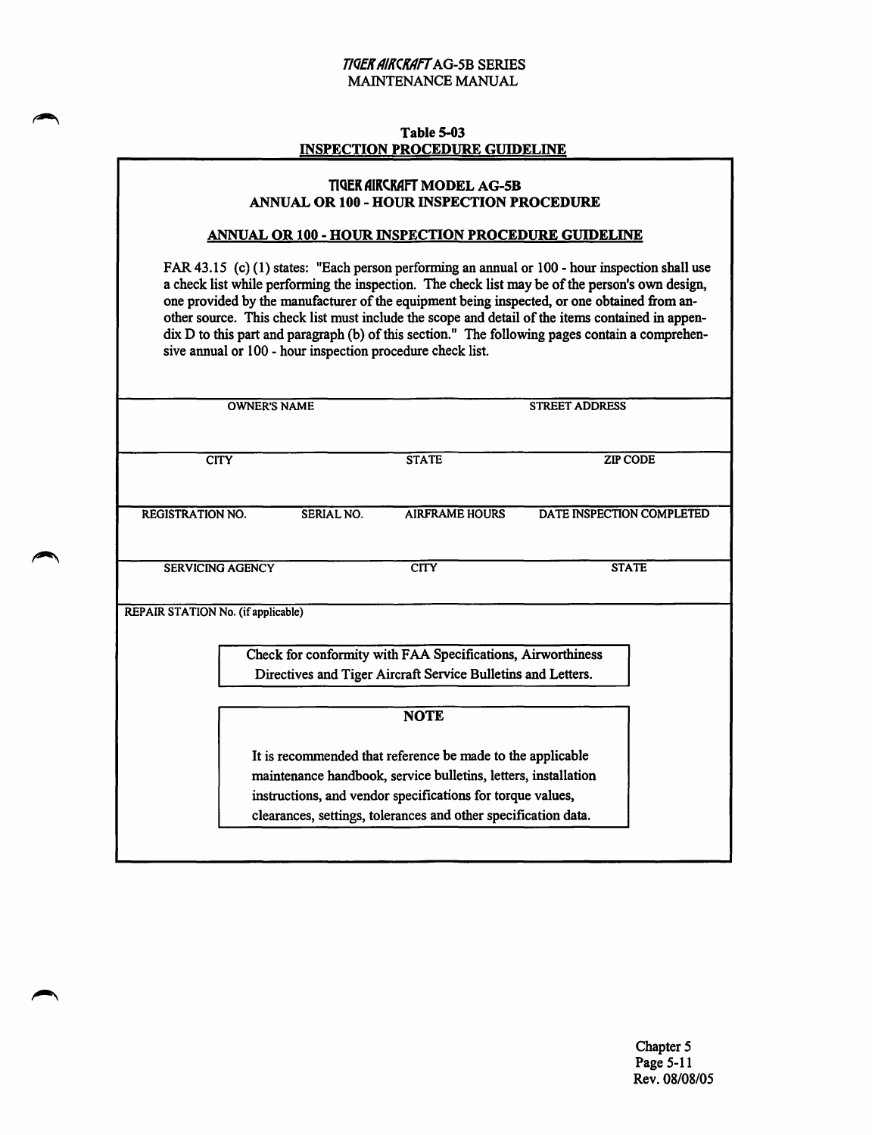#### T/QEK AIKCKAff AG-5B SERIES MAINTENANCE MANUAL

#### Table S-03 INSPECTION PROCEDURE GUIDELINE

#### TIGEK AIKCRAFT MODEL AG-5B ANNUAL OR 100- HOUR INSPECTION PROCEDURE

#### ANNUAL OR 100- HOUR INSPECTION PROCEDURE GUIDELINE

FAR 43.15 (c) (1) states: "Each person performing an annual or 100 - hour inspection shall use a check list while performing the inspection. The check list may be of the person's own design, one provided by the manufacturer of the equipment being inspected, or one obtained from another source. This check list must include the scope and detail of the items contained in appendix D to this part and paragraph (b) of this section." The following pages contain a comprehensive annual or 100 - hour inspection procedure check list.

|                                    | <b>OWNER'S NAME</b>     |            |                                                                                                                                                                                            | <b>STREET ADDRESS</b>     |
|------------------------------------|-------------------------|------------|--------------------------------------------------------------------------------------------------------------------------------------------------------------------------------------------|---------------------------|
|                                    | <b>CITY</b>             |            | <b>STATE</b>                                                                                                                                                                               | <b>ZIP CODE</b>           |
| <b>REGISTRATION NO.</b>            |                         | SERIAL NO. | <b>AIRFRAME HOURS</b>                                                                                                                                                                      | DATE INSPECTION COMPLETED |
|                                    | <b>SERVICING AGENCY</b> |            | <b>CITY</b>                                                                                                                                                                                | <b>STATE</b>              |
| REPAIR STATION No. (if applicable) |                         |            | Check for conformity with FAA Specifications, Airworthiness<br>Directives and Tiger Aircraft Service Bulletins and Letters.                                                                |                           |
|                                    |                         |            | <b>NOTE</b>                                                                                                                                                                                |                           |
|                                    |                         |            | It is recommended that reference be made to the applicable<br>maintenance handbook, service bulletins, letters, installation<br>instructions, and vendor specifications for torque values, |                           |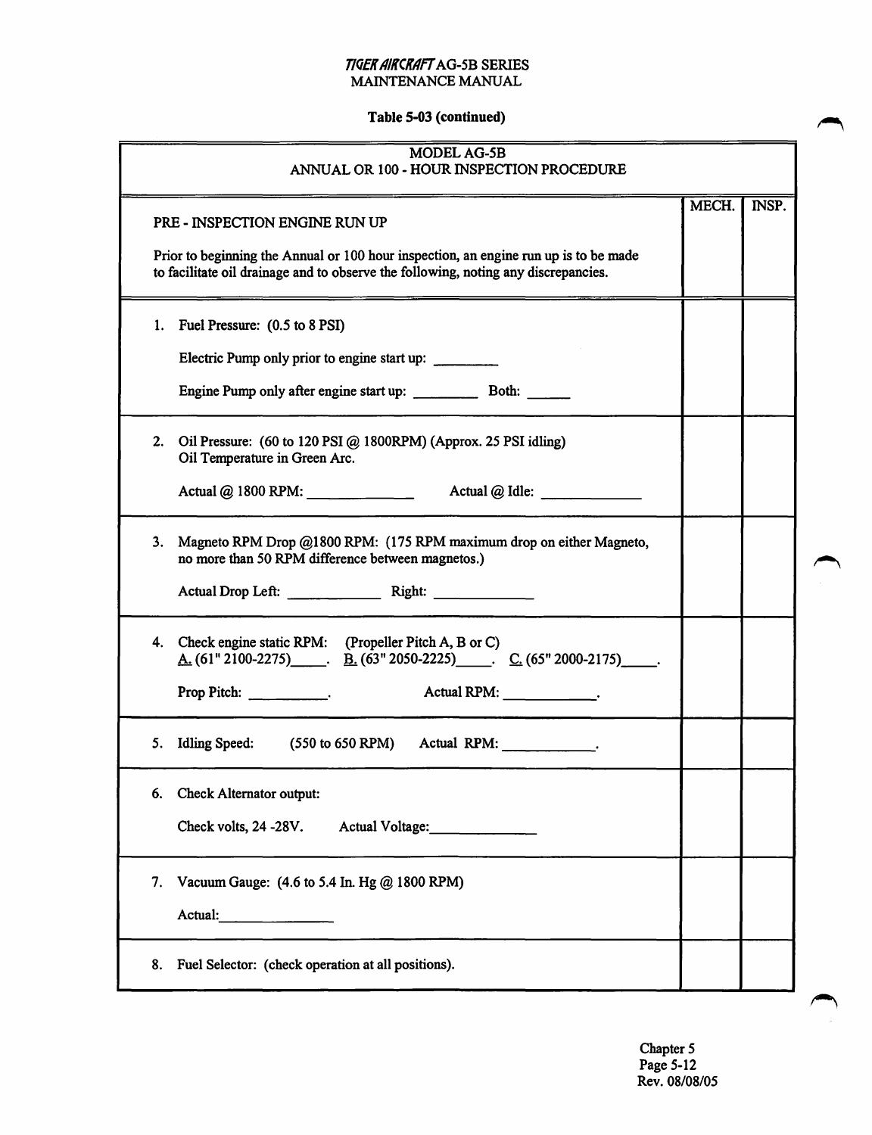#### *T/QER AIKCKAff* AG-5B SERIES MAINTENANCE MANUAL

# Table 5-03 (continued)

| <b>MODEL AG-5B</b><br>ANNUAL OR 100 - HOUR INSPECTION PROCEDURE                                                                                                                                                                                                      |       |       |
|----------------------------------------------------------------------------------------------------------------------------------------------------------------------------------------------------------------------------------------------------------------------|-------|-------|
| PRE - INSPECTION ENGINE RUN UP<br>Prior to beginning the Annual or 100 hour inspection, an engine run up is to be made<br>to facilitate oil drainage and to observe the following, noting any discrepancies.                                                         | MECH. | INSP. |
| Fuel Pressure: (0.5 to 8 PSI)<br>1.<br>Electric Pump only prior to engine start up:                                                                                                                                                                                  |       |       |
| 2.<br>Oil Pressure: (60 to 120 PSI @ 1800RPM) (Approx. 25 PSI idling)<br>Oil Temperature in Green Arc.<br>Actual @ 1800 RPM: ________________<br>Actual @ Idle:                                                                                                      |       |       |
| Magneto RPM Drop @1800 RPM: (175 RPM maximum drop on either Magneto,<br>3.<br>no more than 50 RPM difference between magnetos.)<br>Actual Drop Left: Right: Right:                                                                                                   |       |       |
| Check engine static RPM: (Propeller Pitch A, B or C)<br>4.<br>$\underline{A}$ . (61" 2100-2275) . B. (63" 2050-2225) . C. (65" 2000-2175) .<br>Actual RPM: Network of Actual RPM:<br>Prop Pitch: $\frac{1}{\sqrt{1-\frac{1}{2}}\cdot\frac{1}{\sqrt{1-\frac{1}{2}}}}$ |       |       |
| Idling Speed: (550 to 650 RPM) Actual RPM: ____________.<br>5.                                                                                                                                                                                                       |       |       |
| <b>Check Alternator output:</b><br>6.<br>Check volts, 24 -28V.<br>Actual Voltage:                                                                                                                                                                                    |       |       |
| Vacuum Gauge: (4.6 to 5.4 In. Hg @ 1800 RPM)<br>7.<br>Actual:                                                                                                                                                                                                        |       |       |
| Fuel Selector: (check operation at all positions).<br>8.                                                                                                                                                                                                             |       |       |

Chapter 5 Page 5-12 Rev. 08/08/05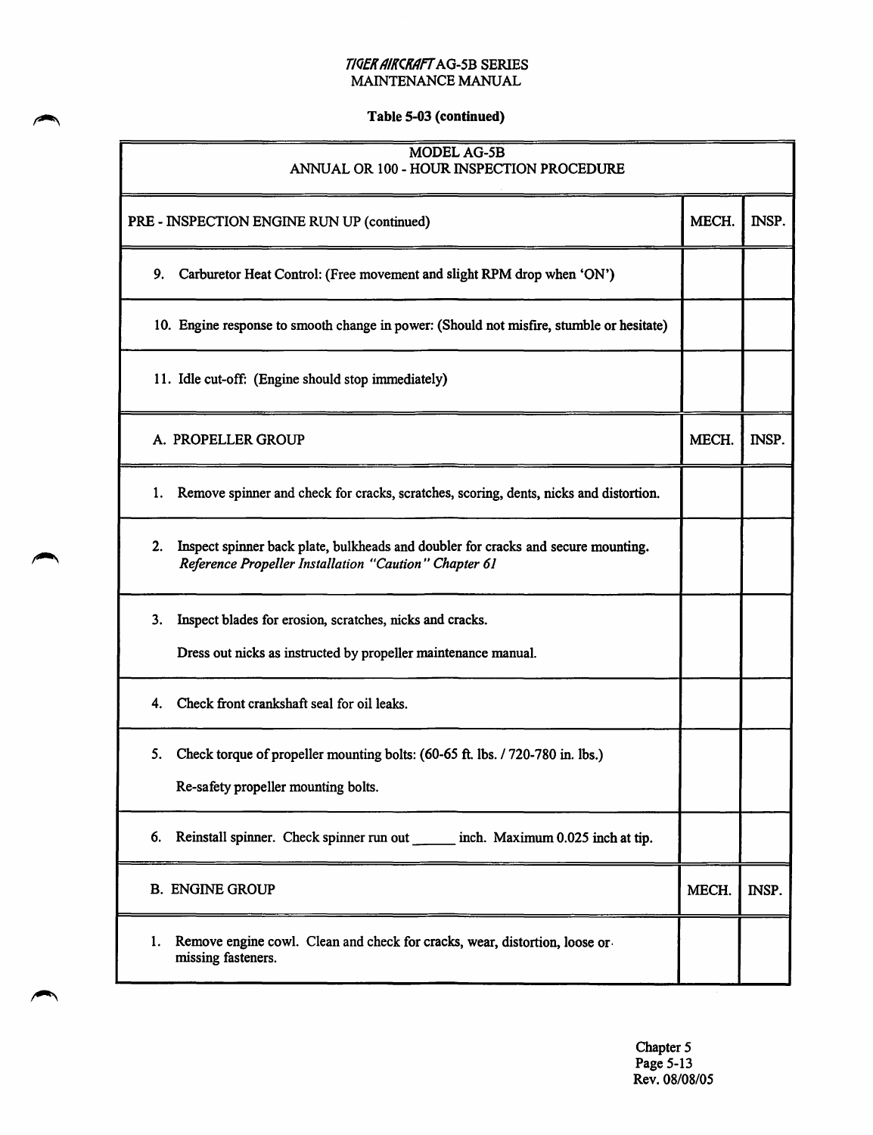#### T/QEK AIKCKAFT AG-5B SERIES MAINTENANCE MANUAL

### Table 5-03 (continued)

#### MODELAG-5B ANNUAL OR 100- HOUR INSPECTION PROCEDURE

| PRE - INSPECTION ENGINE RUN UP (continued)                                                                                                       | MECH. | INSP. |
|--------------------------------------------------------------------------------------------------------------------------------------------------|-------|-------|
| 9.<br>Carburetor Heat Control: (Free movement and slight RPM drop when 'ON')                                                                     |       |       |
| 10. Engine response to smooth change in power: (Should not misfire, stumble or hesitate)                                                         |       |       |
| 11. Idle cut-off: (Engine should stop immediately)                                                                                               |       |       |
| A. PROPELLER GROUP                                                                                                                               | MECH. | INSP. |
| 1.<br>Remove spinner and check for cracks, scratches, scoring, dents, nicks and distortion.                                                      |       |       |
| Inspect spinner back plate, bulkheads and doubler for cracks and secure mounting.<br>2.<br>Reference Propeller Installation "Caution" Chapter 61 |       |       |
| Inspect blades for erosion, scratches, nicks and cracks.<br>3.<br>Dress out nicks as instructed by propeller maintenance manual.                 |       |       |
| Check front crankshaft seal for oil leaks.<br>4.                                                                                                 |       |       |
| 5.<br>Check torque of propeller mounting bolts: (60-65 ft. lbs. / 720-780 in. lbs.)<br>Re-safety propeller mounting bolts.                       |       |       |
| Reinstall spinner. Check spinner run out _______ inch. Maximum 0.025 inch at tip.<br>6.                                                          |       |       |
| <b>B. ENGINE GROUP</b>                                                                                                                           | MECH. | INSP. |
| Remove engine cowl. Clean and check for cracks, wear, distortion, loose or<br>1.<br>missing fasteners.                                           |       |       |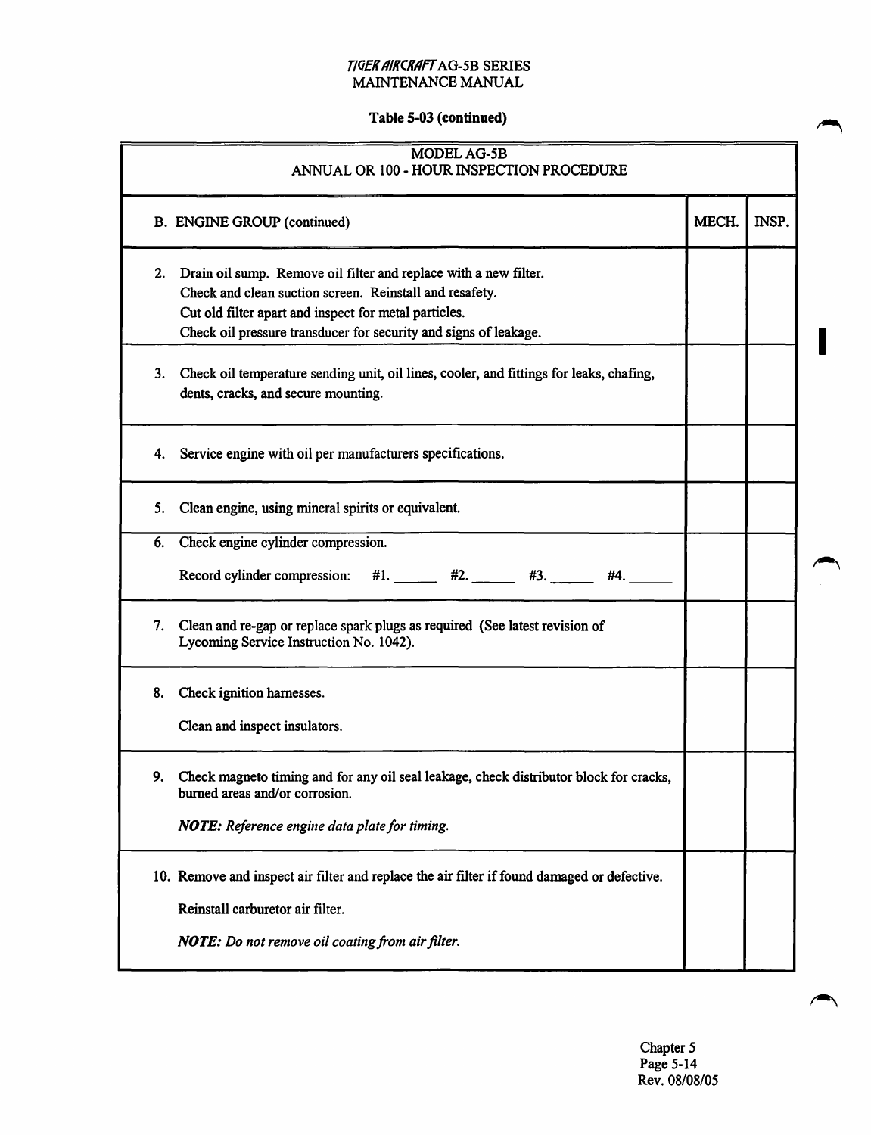# Table 5-03 (continued)

| <b>MODEL AG-5B</b><br>ANNUAL OR 100 - HOUR INSPECTION PROCEDURE                                                                                                                                                                                                |       |       |
|----------------------------------------------------------------------------------------------------------------------------------------------------------------------------------------------------------------------------------------------------------------|-------|-------|
| <b>B. ENGINE GROUP (continued)</b>                                                                                                                                                                                                                             | MECH. | INSP. |
| Drain oil sump. Remove oil filter and replace with a new filter.<br>2.<br>Check and clean suction screen. Reinstall and resafety.<br>Cut old filter apart and inspect for metal particles.<br>Check oil pressure transducer for security and signs of leakage. |       |       |
| Check oil temperature sending unit, oil lines, cooler, and fittings for leaks, chafing,<br>3.<br>dents, cracks, and secure mounting.                                                                                                                           |       |       |
| Service engine with oil per manufacturers specifications.<br>4.                                                                                                                                                                                                |       |       |
| Clean engine, using mineral spirits or equivalent.<br>5.                                                                                                                                                                                                       |       |       |
| Check engine cylinder compression.<br>6.                                                                                                                                                                                                                       |       |       |
| $\#1.$ $\#2.$ $\#3.$<br>Record cylinder compression:<br>#4.                                                                                                                                                                                                    |       |       |
| 7.<br>Clean and re-gap or replace spark plugs as required (See latest revision of<br>Lycoming Service Instruction No. 1042).                                                                                                                                   |       |       |
| Check ignition harnesses.<br>8.                                                                                                                                                                                                                                |       |       |
| Clean and inspect insulators.                                                                                                                                                                                                                                  |       |       |
| 9. Check magneto timing and for any oil seal leakage, check distributor block for cracks,<br>burned areas and/or corrosion.                                                                                                                                    |       |       |
| NOTE: Reference engine data plate for timing.                                                                                                                                                                                                                  |       |       |
| 10. Remove and inspect air filter and replace the air filter if found damaged or defective.                                                                                                                                                                    |       |       |
| Reinstall carburetor air filter.                                                                                                                                                                                                                               |       |       |
| NOTE: Do not remove oil coating from air filter.                                                                                                                                                                                                               |       |       |
|                                                                                                                                                                                                                                                                |       |       |

Chapter *5*  Page 5-14 Rev. 08/08/05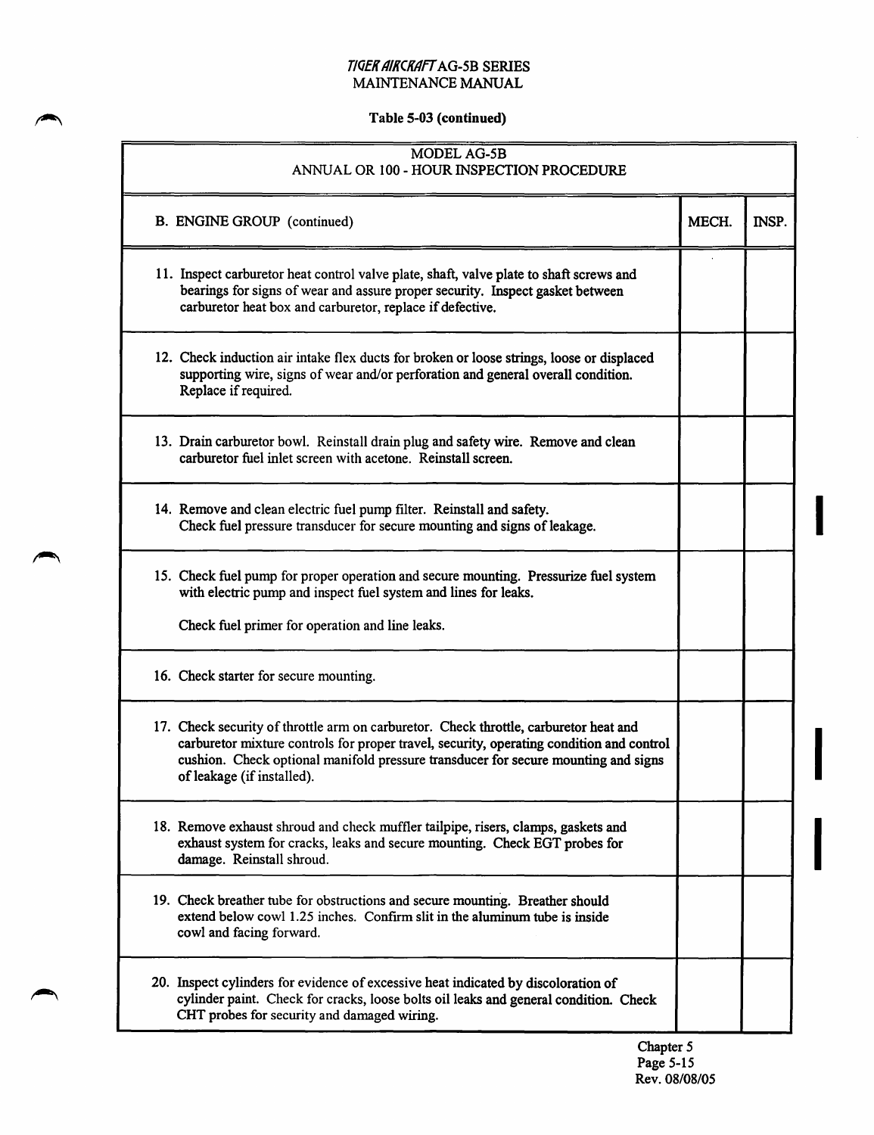# Table 5-03 (continued)

| MODEL AG-5B<br>ANNUAL OR 100 - HOUR INSPECTION PROCEDURE                                                                                                                                                                                                                                              |       |              |
|-------------------------------------------------------------------------------------------------------------------------------------------------------------------------------------------------------------------------------------------------------------------------------------------------------|-------|--------------|
| <b>B. ENGINE GROUP</b> (continued)                                                                                                                                                                                                                                                                    | MECH. | <b>INSP.</b> |
| 11. Inspect carburetor heat control valve plate, shaft, valve plate to shaft screws and<br>bearings for signs of wear and assure proper security. Inspect gasket between<br>carburetor heat box and carburetor, replace if defective.                                                                 |       |              |
| 12. Check induction air intake flex ducts for broken or loose strings, loose or displaced<br>supporting wire, signs of wear and/or perforation and general overall condition.<br>Replace if required.                                                                                                 |       |              |
| 13. Drain carburetor bowl. Reinstall drain plug and safety wire. Remove and clean<br>carburetor fuel inlet screen with acetone. Reinstall screen.                                                                                                                                                     |       |              |
| 14. Remove and clean electric fuel pump filter. Reinstall and safety.<br>Check fuel pressure transducer for secure mounting and signs of leakage.                                                                                                                                                     |       |              |
| 15. Check fuel pump for proper operation and secure mounting. Pressurize fuel system<br>with electric pump and inspect fuel system and lines for leaks.                                                                                                                                               |       |              |
| Check fuel primer for operation and line leaks.                                                                                                                                                                                                                                                       |       |              |
| 16. Check starter for secure mounting.                                                                                                                                                                                                                                                                |       |              |
| 17. Check security of throttle arm on carburetor. Check throttle, carburetor heat and<br>carburetor mixture controls for proper travel, security, operating condition and control<br>cushion. Check optional manifold pressure transducer for secure mounting and signs<br>of leakage (if installed). |       |              |
| 18. Remove exhaust shroud and check muffler tailpipe, risers, clamps, gaskets and<br>exhaust system for cracks, leaks and secure mounting. Check EGT probes for<br>damage. Reinstall shroud.                                                                                                          |       |              |
| 19. Check breather tube for obstructions and secure mounting. Breather should<br>extend below cowl 1.25 inches. Confirm slit in the aluminum tube is inside<br>cowl and facing forward.                                                                                                               |       |              |
| 20. Inspect cylinders for evidence of excessive heat indicated by discoloration of<br>cylinder paint. Check for cracks, loose bolts oil leaks and general condition. Check<br>CHT probes for security and damaged wiring.                                                                             |       |              |

I

I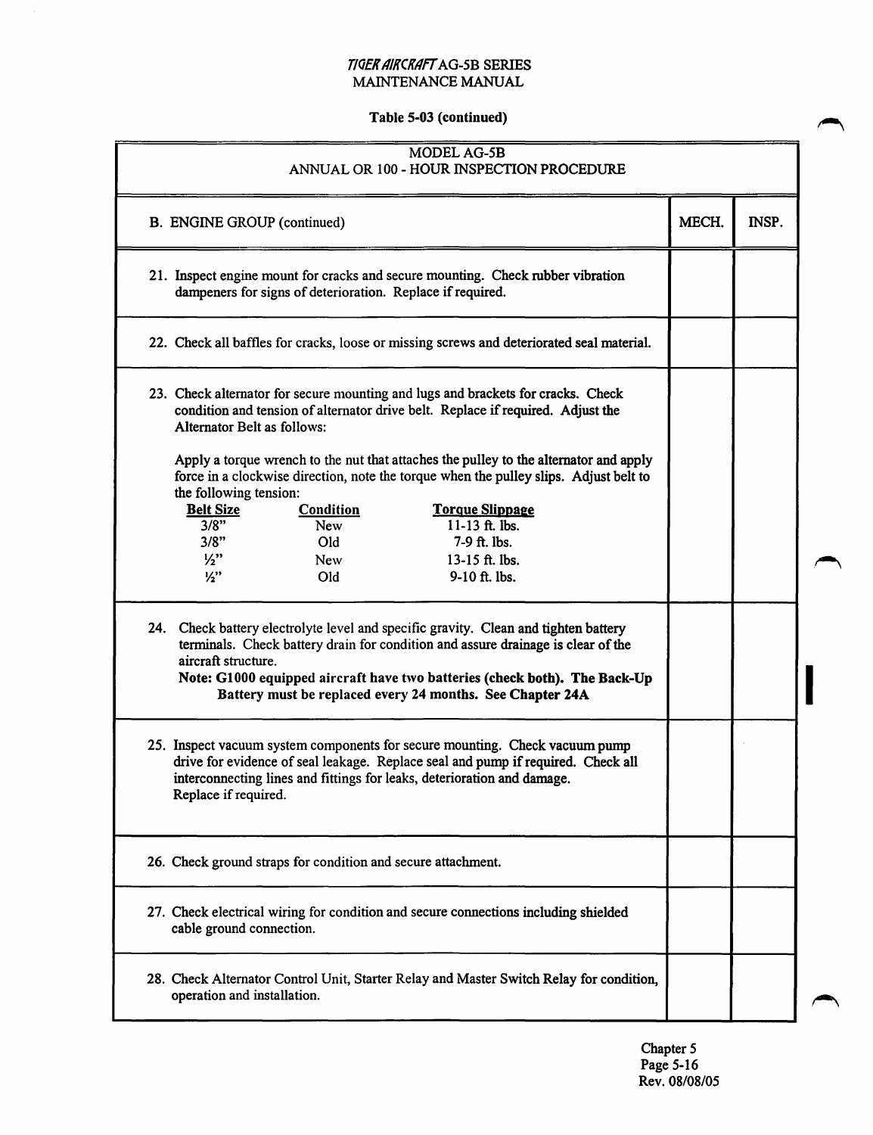#### T/QEK AIKCKAfT AG-5B SERIES MAINTENANCE MANUAL

# Table 5-03 (continued)

| MODEL AG-5B<br>ANNUAL OR 100 - HOUR INSPECTION PROCEDURE                                                                                                                                                                                                                                                                                  |       |       |  |
|-------------------------------------------------------------------------------------------------------------------------------------------------------------------------------------------------------------------------------------------------------------------------------------------------------------------------------------------|-------|-------|--|
| <b>B. ENGINE GROUP (continued)</b>                                                                                                                                                                                                                                                                                                        | MECH. | INSP. |  |
| 21. Inspect engine mount for cracks and secure mounting. Check rubber vibration<br>dampeners for signs of deterioration. Replace if required.                                                                                                                                                                                             |       |       |  |
| 22. Check all baffles for cracks, loose or missing screws and deteriorated seal material.                                                                                                                                                                                                                                                 |       |       |  |
| 23. Check alternator for secure mounting and lugs and brackets for cracks. Check<br>condition and tension of alternator drive belt. Replace if required. Adjust the<br><b>Alternator Belt as follows:</b>                                                                                                                                 |       |       |  |
| Apply a torque wrench to the nut that attaches the pulley to the alternator and apply<br>force in a clockwise direction, note the torque when the pulley slips. Adjust belt to<br>the following tension:                                                                                                                                  |       |       |  |
| <b>Belt Size</b><br><b>Condition</b><br><b>Torque Slippage</b><br>11-13 ft. lbs.<br>3/8"<br>New                                                                                                                                                                                                                                           |       |       |  |
| 7-9 ft. lbs.<br>3/8"<br>Old                                                                                                                                                                                                                                                                                                               |       |       |  |
| $\frac{1}{2}$<br>13-15 ft. lbs.<br><b>New</b><br>9-10 ft. lbs.<br>$\frac{1}{2}$<br>Old                                                                                                                                                                                                                                                    |       |       |  |
| 24. Check battery electrolyte level and specific gravity. Clean and tighten battery<br>terminals. Check battery drain for condition and assure drainage is clear of the<br>aircraft structure.<br>Note: G1000 equipped aircraft have two batteries (check both). The Back-Up<br>Battery must be replaced every 24 months. See Chapter 24A |       |       |  |
| 25. Inspect vacuum system components for secure mounting. Check vacuum pump<br>drive for evidence of seal leakage. Replace seal and pump if required. Check all<br>interconnecting lines and fittings for leaks, deterioration and damage.<br>Replace if required.                                                                        |       |       |  |
| 26. Check ground straps for condition and secure attachment.                                                                                                                                                                                                                                                                              |       |       |  |
| 27. Check electrical wiring for condition and secure connections including shielded<br>cable ground connection.                                                                                                                                                                                                                           |       |       |  |
| 28. Check Alternator Control Unit, Starter Relay and Master Switch Relay for condition,<br>operation and installation.                                                                                                                                                                                                                    |       |       |  |

Chapter 5 Page 5-16 Rev. 08/08/05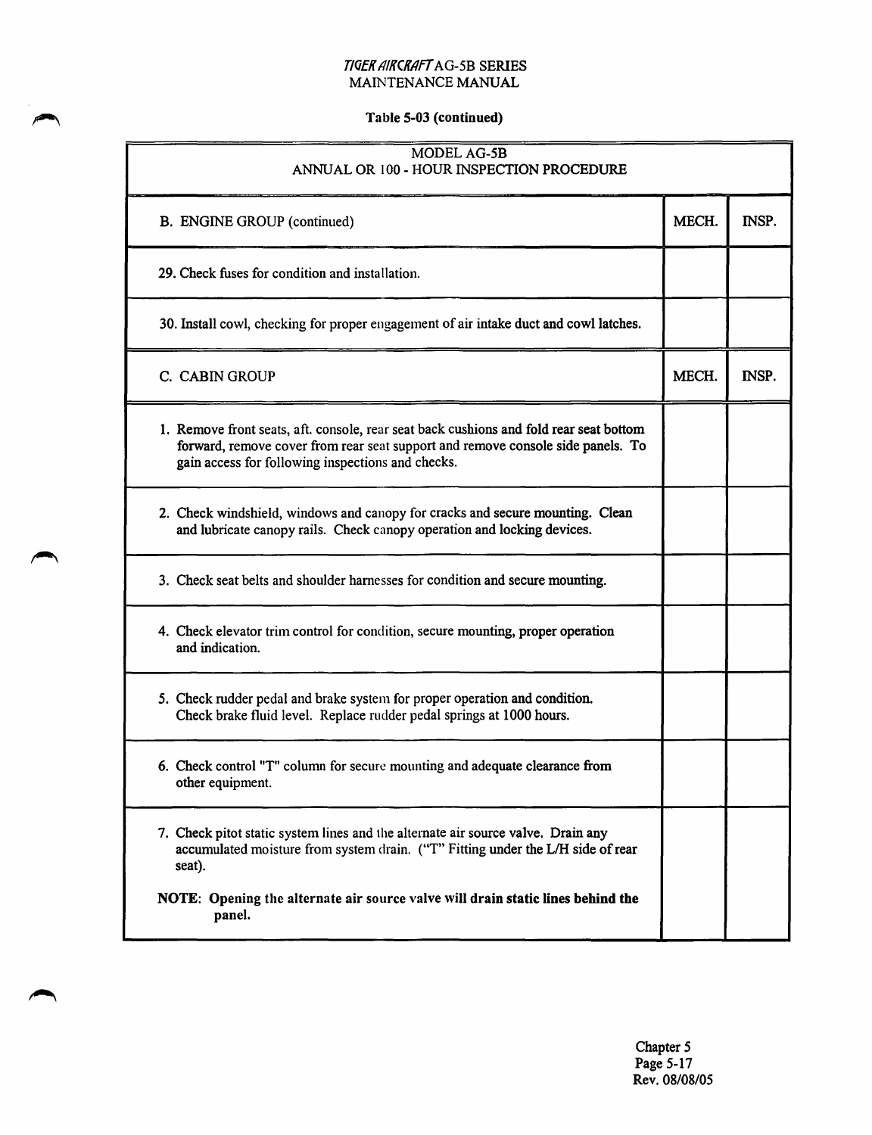# Table 5-03 (continued)

| MODEL AG-5B<br>ANNUAL OR 100 - HOUR INSPECTION PROCEDURE                                                                                                                                                                       |       |       |
|--------------------------------------------------------------------------------------------------------------------------------------------------------------------------------------------------------------------------------|-------|-------|
| <b>B. ENGINE GROUP (continued)</b>                                                                                                                                                                                             | MECH. | INSP. |
| 29. Check fuses for condition and installation.                                                                                                                                                                                |       |       |
| 30. Install cowl, checking for proper engagement of air intake duct and cowl latches.                                                                                                                                          |       |       |
| C. CABIN GROUP                                                                                                                                                                                                                 | MECH. | INSP. |
| 1. Remove front seats, aft. console, rear seat back cushions and fold rear seat bottom<br>forward, remove cover from rear seat support and remove console side panels. To<br>gain access for following inspections and checks. |       |       |
| 2. Check windshield, windows and canopy for cracks and secure mounting. Clean<br>and lubricate canopy rails. Check canopy operation and locking devices.                                                                       |       |       |
| 3. Check seat belts and shoulder harnesses for condition and secure mounting.                                                                                                                                                  |       |       |
| 4. Check elevator trim control for condition, secure mounting, proper operation<br>and indication.                                                                                                                             |       |       |
| 5. Check rudder pedal and brake system for proper operation and condition.<br>Check brake fluid level. Replace rudder pedal springs at 1000 hours.                                                                             |       |       |
| 6. Check control "T" column for secure mounting and adequate clearance from<br>other equipment.                                                                                                                                |       |       |
| 7. Check pitot static system lines and the alternate air source valve. Drain any<br>accumulated moisture from system drain. ("T" Fitting under the L/H side of rear<br>seat).                                                  |       |       |
| NOTE: Opening the alternate air source valve will drain static lines behind the<br>panel.                                                                                                                                      |       |       |

Chapter 5 Page 5-17 Rev. 08/08/05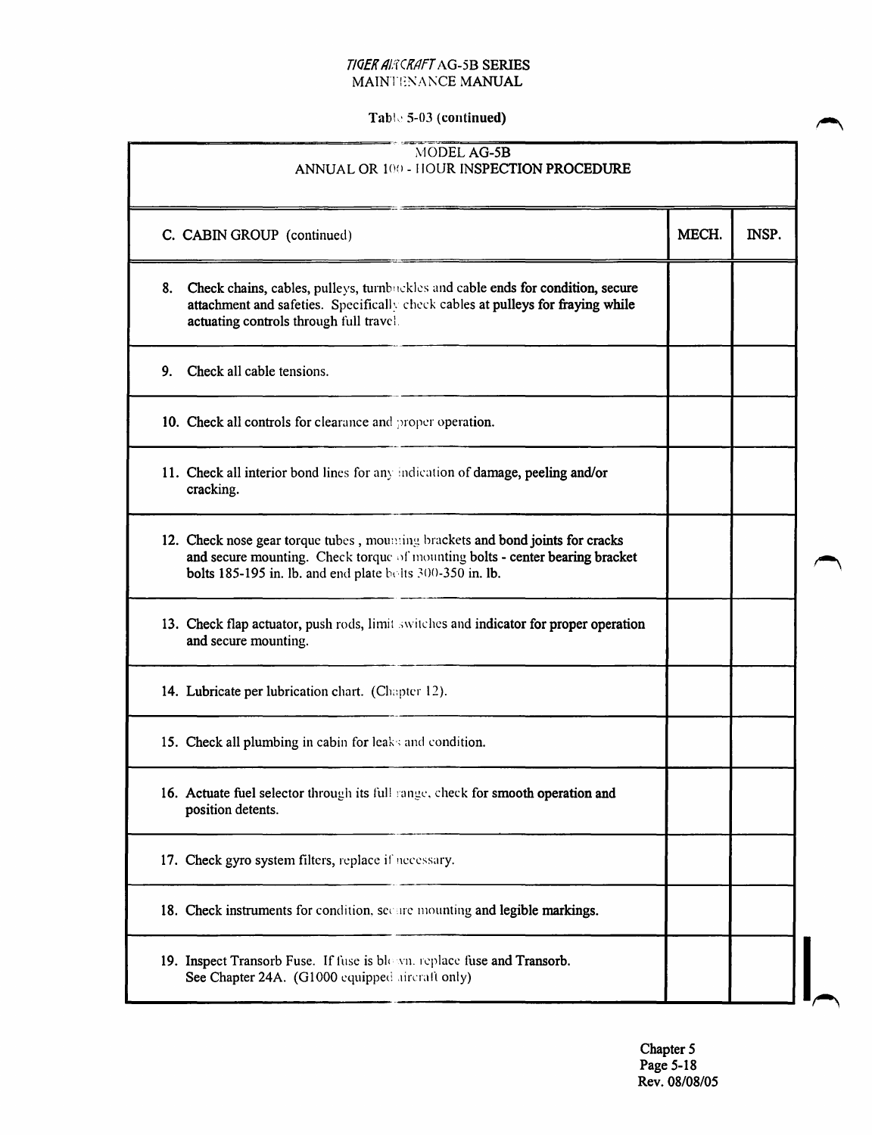#### *TIOEK 11/:TCK/IFT* AG-5B SERIES MAINTENANCE MANUAL

# Table 5-03 (continued)

| MODEL AG-5B<br>ANNUAL OR 100 - HOUR INSPECTION PROCEDURE                                                                                                                                                                    |       |       |  |
|-----------------------------------------------------------------------------------------------------------------------------------------------------------------------------------------------------------------------------|-------|-------|--|
| C. CABIN GROUP (continued)                                                                                                                                                                                                  | MECH. | INSP. |  |
| Check chains, cables, pulleys, turnbuckles and cable ends for condition, secure<br>8.<br>attachment and safeties. Specifically check cables at pulleys for fraying while<br>actuating controls through full travel.         |       |       |  |
| Check all cable tensions.<br>9.                                                                                                                                                                                             |       |       |  |
| 10. Check all controls for clearance and proper operation.                                                                                                                                                                  |       |       |  |
| 11. Check all interior bond lines for any indication of damage, peeling and/or<br>cracking.                                                                                                                                 |       |       |  |
| 12. Check nose gear torque tubes, mounting brackets and bond joints for cracks<br>and secure mounting. Check torque of mounting bolts - center bearing bracket<br>bolts 185-195 in. lb. and end plate bolts 300-350 in. lb. |       |       |  |
| 13. Check flap actuator, push rods, limit switches and indicator for proper operation<br>and secure mounting.                                                                                                               |       |       |  |
| 14. Lubricate per lubrication chart. (Chapter 12).                                                                                                                                                                          |       |       |  |
| 15. Check all plumbing in cabin for leaks and condition.                                                                                                                                                                    |       |       |  |
| 16. Actuate fuel selector through its full range, check for smooth operation and<br>position detents.                                                                                                                       |       |       |  |
| 17. Check gyro system filters, replace if necessary.                                                                                                                                                                        |       |       |  |
| 18. Check instruments for condition, secure mounting and legible markings.                                                                                                                                                  |       |       |  |
| 19. Inspect Transorb Fuse. If fuse is blown, replace fuse and Transorb.<br>See Chapter 24A. (G1000 equipped aircraft only)                                                                                                  |       |       |  |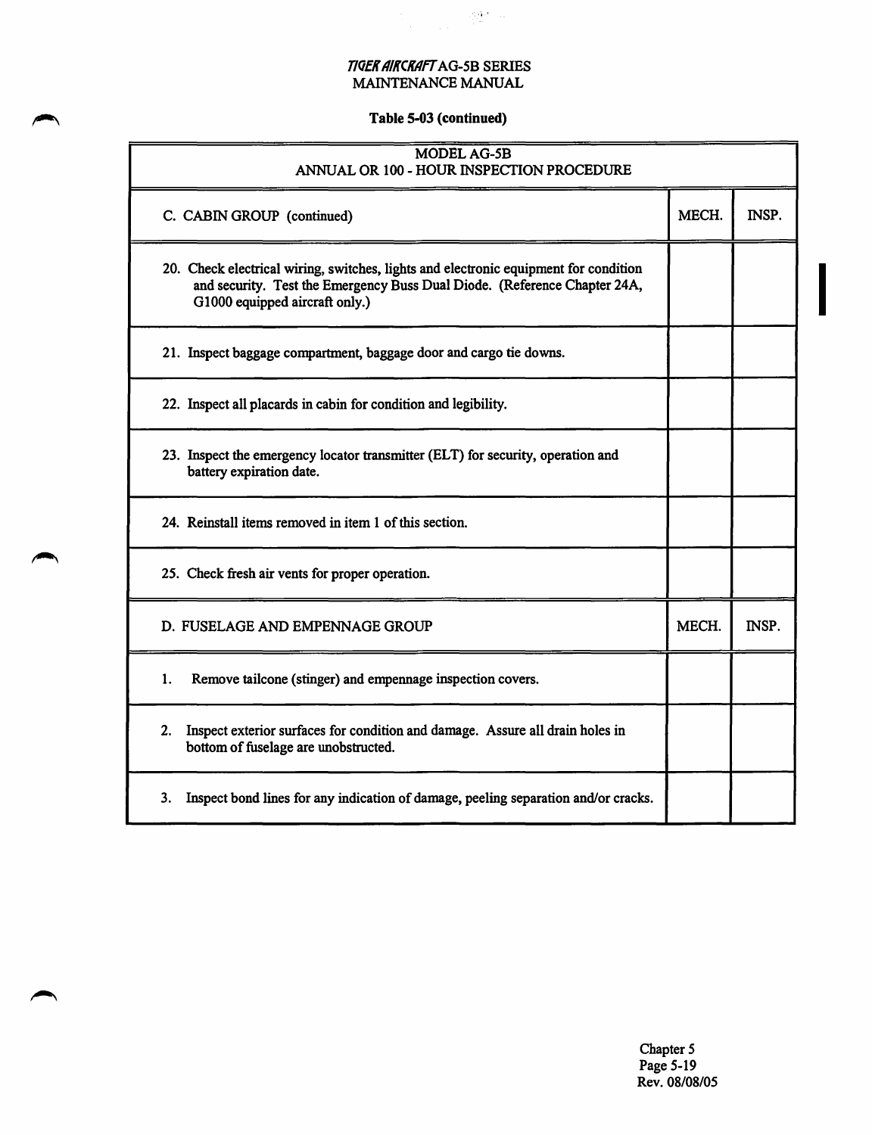$\label{eq:1} \begin{split} \mathcal{L}_{\text{max}} &= \frac{1}{2\pi\epsilon}\sum_{\mathbf{q}\in\mathcal{M}}\frac{d\mathbf{q}\cdot\mathbf{r}}{d\mathbf{q}}\left(\mathbf{q}\right) \mathbf{q} \, , \end{split}$ 

# Table 5-03 (continued)

| <b>MODEL AG-5B</b><br>ANNUAL OR 100 - HOUR INSPECTION PROCEDURE                                                                                                                                     |       |       |
|-----------------------------------------------------------------------------------------------------------------------------------------------------------------------------------------------------|-------|-------|
| C. CABIN GROUP (continued)                                                                                                                                                                          | MECH. | INSP. |
| 20. Check electrical wiring, switches, lights and electronic equipment for condition<br>and security. Test the Emergency Buss Dual Diode. (Reference Chapter 24A,<br>G1000 equipped aircraft only.) |       |       |
| 21. Inspect baggage compartment, baggage door and cargo tie downs.                                                                                                                                  |       |       |
| 22. Inspect all placards in cabin for condition and legibility.                                                                                                                                     |       |       |
| 23. Inspect the emergency locator transmitter (ELT) for security, operation and<br>battery expiration date.                                                                                         |       |       |
| 24. Reinstall items removed in item 1 of this section.                                                                                                                                              |       |       |
| 25. Check fresh air vents for proper operation.                                                                                                                                                     |       |       |
| D. FUSELAGE AND EMPENNAGE GROUP                                                                                                                                                                     | MECH. | INSP. |
| 1.<br>Remove tailcone (stinger) and empenaage inspection covers.                                                                                                                                    |       |       |
| Inspect exterior surfaces for condition and damage. Assure all drain holes in<br>2.<br>bottom of fuselage are unobstructed.                                                                         |       |       |
| Inspect bond lines for any indication of damage, peeling separation and/or cracks.<br>3.                                                                                                            |       |       |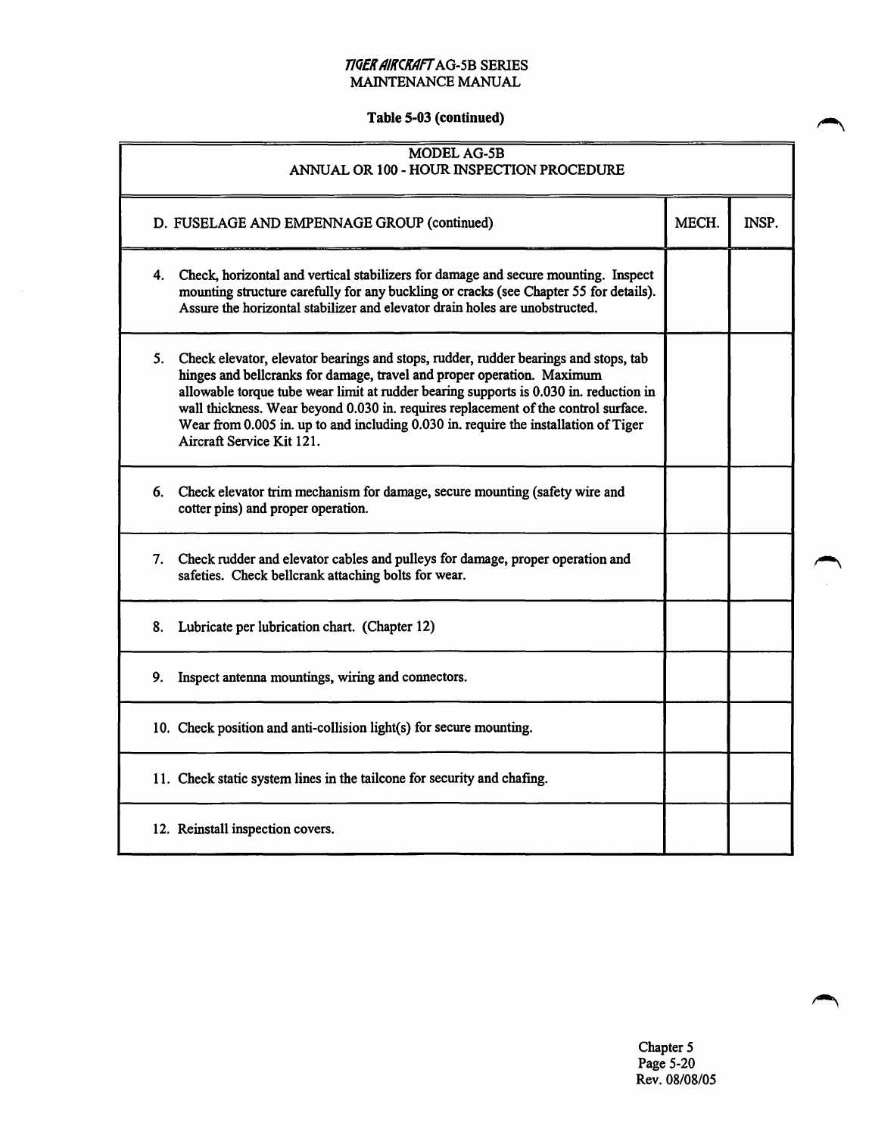### *T/QEK AIKCKAff* AG-5B SERIES MAINTENANCE MANUAL

# Table 5-03 {continued)

 $\sim$ 

| MODEL AG-5B<br>ANNUAL OR 100 - HOUR INSPECTION PROCEDURE                                                                                                                                                                                                                                                                                                                                                                                                            |       |       |
|---------------------------------------------------------------------------------------------------------------------------------------------------------------------------------------------------------------------------------------------------------------------------------------------------------------------------------------------------------------------------------------------------------------------------------------------------------------------|-------|-------|
| D. FUSELAGE AND EMPENNAGE GROUP (continued)                                                                                                                                                                                                                                                                                                                                                                                                                         | MECH. | INSP. |
| 4. Check, horizontal and vertical stabilizers for damage and secure mounting. Inspect<br>mounting structure carefully for any buckling or cracks (see Chapter 55 for details).<br>Assure the horizontal stabilizer and elevator drain holes are unobstructed.                                                                                                                                                                                                       |       |       |
| 5. Check elevator, elevator bearings and stops, rudder, rudder bearings and stops, tab<br>hinges and bellcranks for damage, travel and proper operation. Maximum<br>allowable torque tube wear limit at rudder bearing supports is 0.030 in. reduction in<br>wall thickness. Wear beyond 0.030 in. requires replacement of the control surface.<br>Wear from 0.005 in. up to and including 0.030 in. require the installation of Tiger<br>Aircraft Service Kit 121. |       |       |
| Check elevator trim mechanism for damage, secure mounting (safety wire and<br>6.<br>cotter pins) and proper operation.                                                                                                                                                                                                                                                                                                                                              |       |       |
| Check rudder and elevator cables and pulleys for damage, proper operation and<br>7.<br>safeties. Check bellcrank attaching bolts for wear.                                                                                                                                                                                                                                                                                                                          |       |       |
| 8.<br>Lubricate per lubrication chart. (Chapter 12)                                                                                                                                                                                                                                                                                                                                                                                                                 |       |       |
| 9.<br>Inspect antenna mountings, wiring and connectors.                                                                                                                                                                                                                                                                                                                                                                                                             |       |       |
| 10. Check position and anti-collision light(s) for secure mounting.                                                                                                                                                                                                                                                                                                                                                                                                 |       |       |
| 11. Check static system lines in the tailcone for security and chafing.                                                                                                                                                                                                                                                                                                                                                                                             |       |       |
| 12. Reinstall inspection covers.                                                                                                                                                                                                                                                                                                                                                                                                                                    |       |       |

Chapter *5*  Page 5-20 Rev. 08/08/05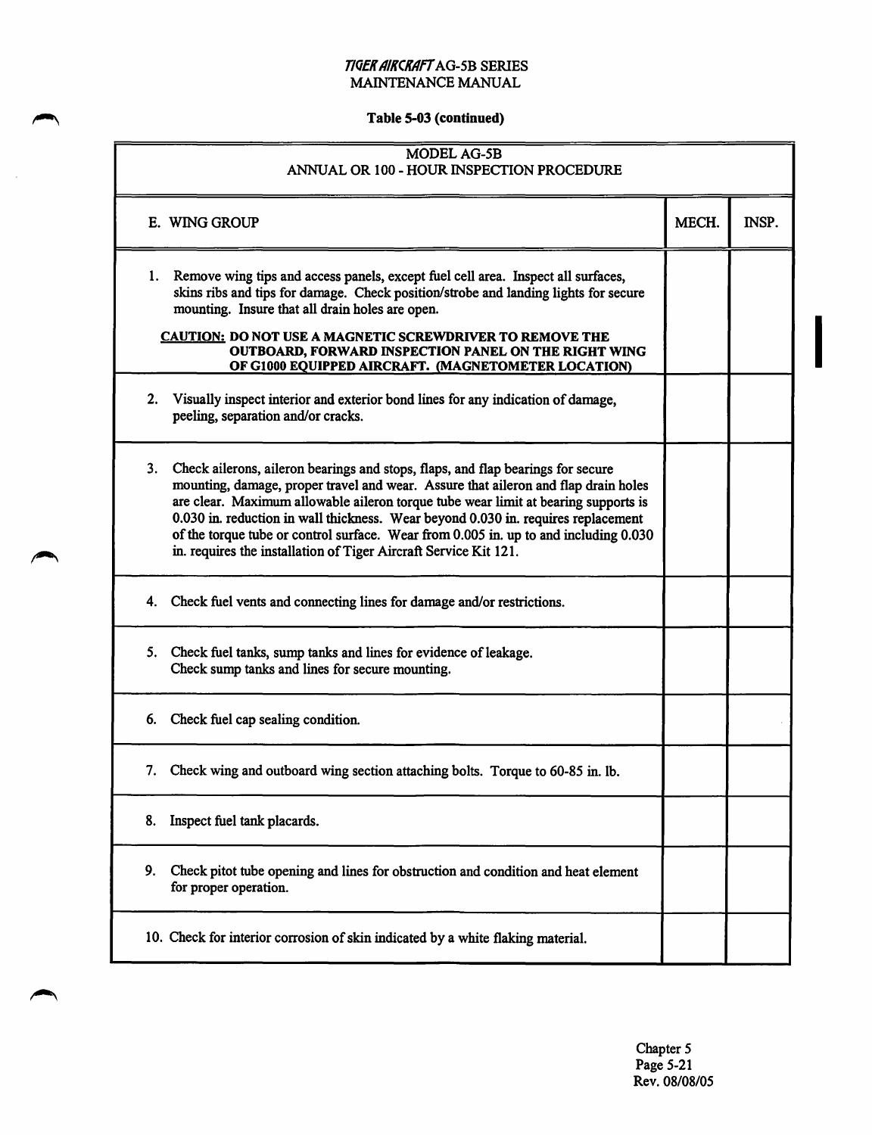#### T/QEK AIKCKAff AG-5B SERIES MAINTENANCE MANUAL

# Table 5-03 (continued)

| MODEL AG-5B<br>ANNUAL OR 100 - HOUR INSPECTION PROCEDURE                                                                                                                                                                                                                                                                                                                                                                                                                                                           |       |       |
|--------------------------------------------------------------------------------------------------------------------------------------------------------------------------------------------------------------------------------------------------------------------------------------------------------------------------------------------------------------------------------------------------------------------------------------------------------------------------------------------------------------------|-------|-------|
| E. WING GROUP                                                                                                                                                                                                                                                                                                                                                                                                                                                                                                      | MECH. | INSP. |
| Remove wing tips and access panels, except fuel cell area. Inspect all surfaces,<br>1.<br>skins ribs and tips for damage. Check position/strobe and landing lights for secure<br>mounting. Insure that all drain holes are open.                                                                                                                                                                                                                                                                                   |       |       |
| <b>CAUTION: DO NOT USE A MAGNETIC SCREWDRIVER TO REMOVE THE</b><br>OUTBOARD, FORWARD INSPECTION PANEL ON THE RIGHT WING<br>OF G1000 EQUIPPED AIRCRAFT. (MAGNETOMETER LOCATION)                                                                                                                                                                                                                                                                                                                                     |       |       |
| 2.<br>Visually inspect interior and exterior bond lines for any indication of damage,<br>peeling, separation and/or cracks.                                                                                                                                                                                                                                                                                                                                                                                        |       |       |
| 3.<br>Check ailerons, aileron bearings and stops, flaps, and flap bearings for secure<br>mounting, damage, proper travel and wear. Assure that aileron and flap drain holes<br>are clear. Maximum allowable aileron torque tube wear limit at bearing supports is<br>0.030 in. reduction in wall thickness. Wear beyond 0.030 in. requires replacement<br>of the torque tube or control surface. Wear from 0.005 in. up to and including 0.030<br>in. requires the installation of Tiger Aircraft Service Kit 121. |       |       |
| 4. Check fuel vents and connecting lines for damage and/or restrictions.                                                                                                                                                                                                                                                                                                                                                                                                                                           |       |       |
| 5.<br>Check fuel tanks, sump tanks and lines for evidence of leakage.<br>Check sump tanks and lines for secure mounting.                                                                                                                                                                                                                                                                                                                                                                                           |       |       |
| Check fuel cap sealing condition.<br>6.                                                                                                                                                                                                                                                                                                                                                                                                                                                                            |       |       |
| Check wing and outboard wing section attaching bolts. Torque to 60-85 in. lb.<br>7.                                                                                                                                                                                                                                                                                                                                                                                                                                |       |       |
| Inspect fuel tank placards.<br>8.                                                                                                                                                                                                                                                                                                                                                                                                                                                                                  |       |       |
| 9.<br>Check pitot tube opening and lines for obstruction and condition and heat element<br>for proper operation.                                                                                                                                                                                                                                                                                                                                                                                                   |       |       |
| 10. Check for interior corrosion of skin indicated by a white flaking material.                                                                                                                                                                                                                                                                                                                                                                                                                                    |       |       |

 $\sqrt{2}$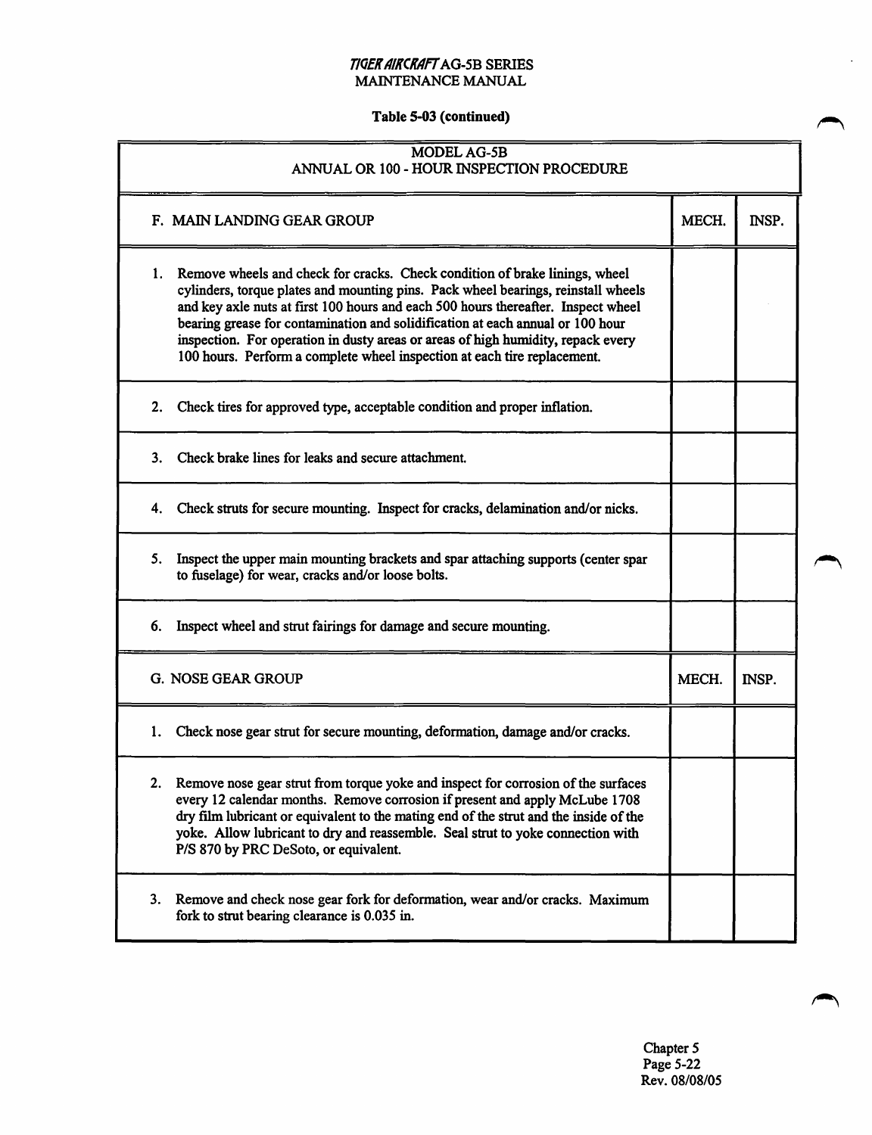#### T/QEK A/KCKAff AG-5B SERIES MAINTENANCE MANUAL

### Table 5-03 (continued)

| MODEL AG-5B<br>ANNUAL OR 100 - HOUR INSPECTION PROCEDURE                                                                                                                                                                                                                                                                                                                                                                                                                                                      |       |       |
|---------------------------------------------------------------------------------------------------------------------------------------------------------------------------------------------------------------------------------------------------------------------------------------------------------------------------------------------------------------------------------------------------------------------------------------------------------------------------------------------------------------|-------|-------|
| F. MAIN LANDING GEAR GROUP                                                                                                                                                                                                                                                                                                                                                                                                                                                                                    | MECH. | INSP. |
| Remove wheels and check for cracks. Check condition of brake linings, wheel<br>1.<br>cylinders, torque plates and mounting pins. Pack wheel bearings, reinstall wheels<br>and key axle nuts at first 100 hours and each 500 hours thereafter. Inspect wheel<br>bearing grease for contamination and solidification at each annual or 100 hour<br>inspection. For operation in dusty areas or areas of high humidity, repack every<br>100 hours. Perform a complete wheel inspection at each tire replacement. |       |       |
| Check tires for approved type, acceptable condition and proper inflation.<br>2.                                                                                                                                                                                                                                                                                                                                                                                                                               |       |       |
| Check brake lines for leaks and secure attachment.<br>3.                                                                                                                                                                                                                                                                                                                                                                                                                                                      |       |       |
| Check struts for secure mounting. Inspect for cracks, delamination and/or nicks.<br>4.                                                                                                                                                                                                                                                                                                                                                                                                                        |       |       |
| Inspect the upper main mounting brackets and spar attaching supports (center spar<br>5.<br>to fuselage) for wear, cracks and/or loose bolts.                                                                                                                                                                                                                                                                                                                                                                  |       |       |
| 6.<br>Inspect wheel and strut fairings for damage and secure mounting.                                                                                                                                                                                                                                                                                                                                                                                                                                        |       |       |
| <b>G. NOSE GEAR GROUP</b>                                                                                                                                                                                                                                                                                                                                                                                                                                                                                     | MECH. | INSP. |
| Check nose gear strut for secure mounting, deformation, damage and/or cracks.<br>1.                                                                                                                                                                                                                                                                                                                                                                                                                           |       |       |
| Remove nose gear strut from torque yoke and inspect for corrosion of the surfaces<br>2.<br>every 12 calendar months. Remove corrosion if present and apply McLube 1708<br>dry film lubricant or equivalent to the mating end of the strut and the inside of the<br>yoke. Allow lubricant to dry and reassemble. Seal strut to yoke connection with<br>P/S 870 by PRC DeSoto, or equivalent.                                                                                                                   |       |       |
| Remove and check nose gear fork for deformation, wear and/or cracks. Maximum<br>3.<br>fork to strut bearing clearance is 0.035 in.                                                                                                                                                                                                                                                                                                                                                                            |       |       |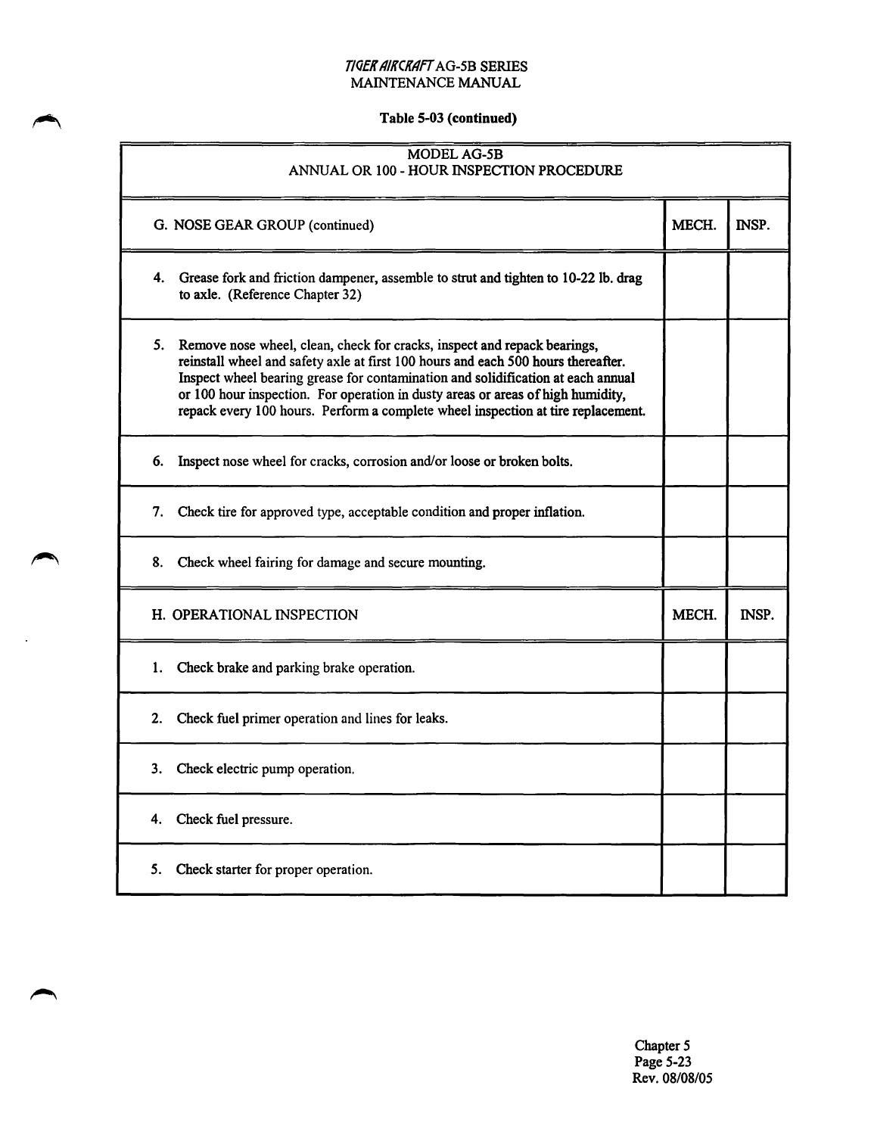# Table S-03 (continued)

| <b>MODEL AG-5B</b><br>ANNUAL OR 100 - HOUR INSPECTION PROCEDURE                                                                                                                                                                                                                                                                                                                                                             |       |       |  |  |
|-----------------------------------------------------------------------------------------------------------------------------------------------------------------------------------------------------------------------------------------------------------------------------------------------------------------------------------------------------------------------------------------------------------------------------|-------|-------|--|--|
| G. NOSE GEAR GROUP (continued)                                                                                                                                                                                                                                                                                                                                                                                              | MECH. | INSP. |  |  |
| Grease fork and friction dampener, assemble to strut and tighten to 10-22 lb. drag<br>4.<br>to axle. (Reference Chapter 32)                                                                                                                                                                                                                                                                                                 |       |       |  |  |
| 5. Remove nose wheel, clean, check for cracks, inspect and repack bearings,<br>reinstall wheel and safety axle at first 100 hours and each 500 hours thereafter.<br>Inspect wheel bearing grease for contamination and solidification at each annual<br>or 100 hour inspection. For operation in dusty areas or areas of high humidity,<br>repack every 100 hours. Perform a complete wheel inspection at tire replacement. |       |       |  |  |
| Inspect nose wheel for cracks, corrosion and/or loose or broken bolts.<br>6.                                                                                                                                                                                                                                                                                                                                                |       |       |  |  |
| Check tire for approved type, acceptable condition and proper inflation.<br>7.                                                                                                                                                                                                                                                                                                                                              |       |       |  |  |
| Check wheel fairing for damage and secure mounting.<br>8.                                                                                                                                                                                                                                                                                                                                                                   |       |       |  |  |
| H. OPERATIONAL INSPECTION                                                                                                                                                                                                                                                                                                                                                                                                   | MECH. | INSP. |  |  |
| Check brake and parking brake operation.<br>1.                                                                                                                                                                                                                                                                                                                                                                              |       |       |  |  |
| Check fuel primer operation and lines for leaks.<br>2.                                                                                                                                                                                                                                                                                                                                                                      |       |       |  |  |
| 3.<br>Check electric pump operation.                                                                                                                                                                                                                                                                                                                                                                                        |       |       |  |  |
| Check fuel pressure.<br>4.                                                                                                                                                                                                                                                                                                                                                                                                  |       |       |  |  |
| Check starter for proper operation.<br>5.                                                                                                                                                                                                                                                                                                                                                                                   |       |       |  |  |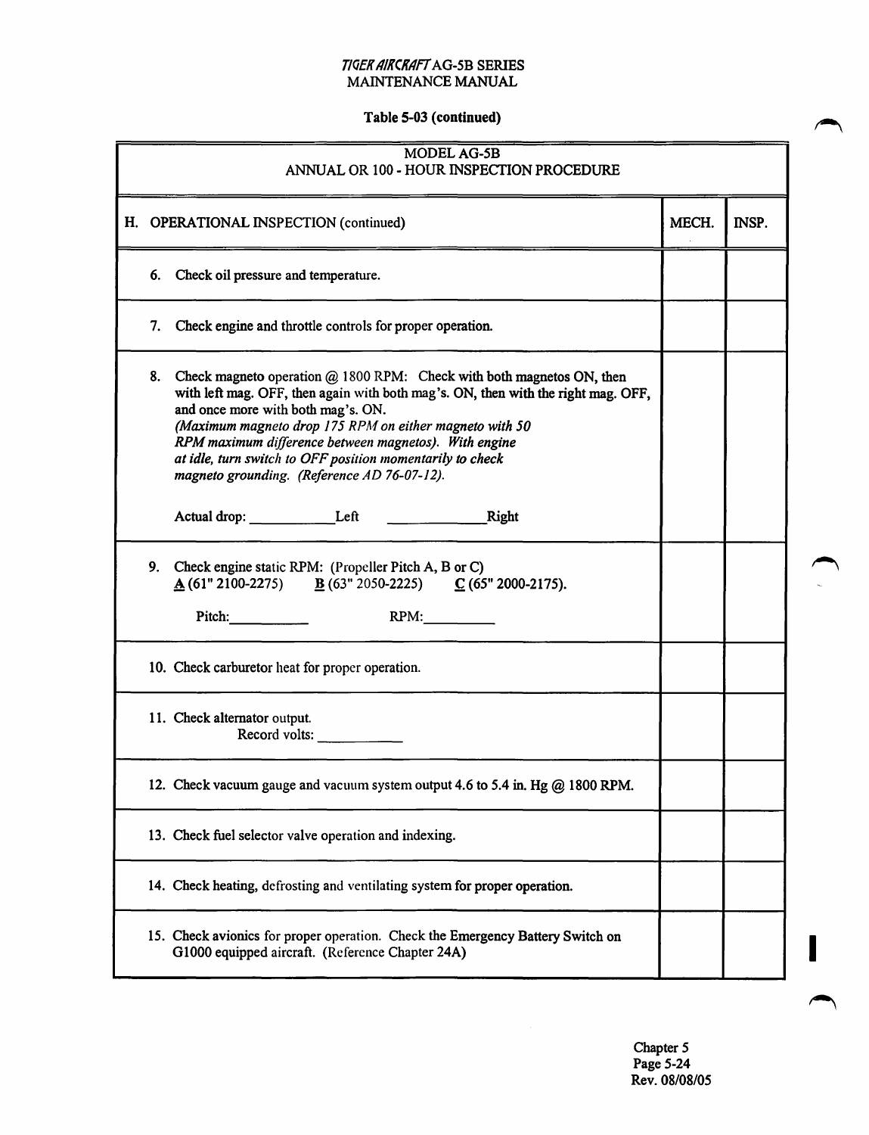#### T/QEK AIKCKAfT AG-5B SERIES MAINTENANCE MANUAL

# Table 5-03 (continued)

| MODEL AG-5B<br>ANNUAL OR 100 - HOUR INSPECTION PROCEDURE |                                                                                                                                                                                                                                                                                                                                                                                                                                    |       |       |  |  |  |
|----------------------------------------------------------|------------------------------------------------------------------------------------------------------------------------------------------------------------------------------------------------------------------------------------------------------------------------------------------------------------------------------------------------------------------------------------------------------------------------------------|-------|-------|--|--|--|
|                                                          | H. OPERATIONAL INSPECTION (continued)                                                                                                                                                                                                                                                                                                                                                                                              | MECH. | INSP. |  |  |  |
|                                                          | 6. Check oil pressure and temperature.                                                                                                                                                                                                                                                                                                                                                                                             |       |       |  |  |  |
| 7.                                                       | Check engine and throttle controls for proper operation.                                                                                                                                                                                                                                                                                                                                                                           |       |       |  |  |  |
| 8.                                                       | Check magneto operation $@$ 1800 RPM: Check with both magnetos ON, then<br>with left mag. OFF, then again with both mag's. ON, then with the right mag. OFF,<br>and once more with both mag's. ON.<br>(Maximum magneto drop 175 RPM on either magneto with 50<br>RPM maximum difference between magnetos). With engine<br>at idle, turn switch to OFF position momentarily to check<br>magneto grounding. (Reference AD 76-07-12). |       |       |  |  |  |
|                                                          | Actual drop: Left Left Right                                                                                                                                                                                                                                                                                                                                                                                                       |       |       |  |  |  |
|                                                          | 9. Check engine static RPM: (Propeller Pitch A, B or C)<br>$\underline{A}$ (61" 2100-2275) $\underline{B}$ (63" 2050-2225) $\underline{C}$ (65" 2000-2175).<br>Pitch: RPM:                                                                                                                                                                                                                                                         |       |       |  |  |  |
|                                                          | 10. Check carburetor heat for proper operation.                                                                                                                                                                                                                                                                                                                                                                                    |       |       |  |  |  |
|                                                          | 11. Check alternator output.<br>Record volts: $\qquad \qquad$                                                                                                                                                                                                                                                                                                                                                                      |       |       |  |  |  |
|                                                          | 12. Check vacuum gauge and vacuum system output 4.6 to 5.4 in. Hg @ 1800 RPM.                                                                                                                                                                                                                                                                                                                                                      |       |       |  |  |  |
|                                                          | 13. Check fuel selector valve operation and indexing.                                                                                                                                                                                                                                                                                                                                                                              |       |       |  |  |  |
|                                                          | 14. Check heating, defrosting and ventilating system for proper operation.                                                                                                                                                                                                                                                                                                                                                         |       |       |  |  |  |
|                                                          | 15. Check avionics for proper operation. Check the Emergency Battery Switch on<br>G1000 equipped aircraft. (Reference Chapter 24A)                                                                                                                                                                                                                                                                                                 |       |       |  |  |  |

Chapter 5 Page 5-24 Rev. 08/08/05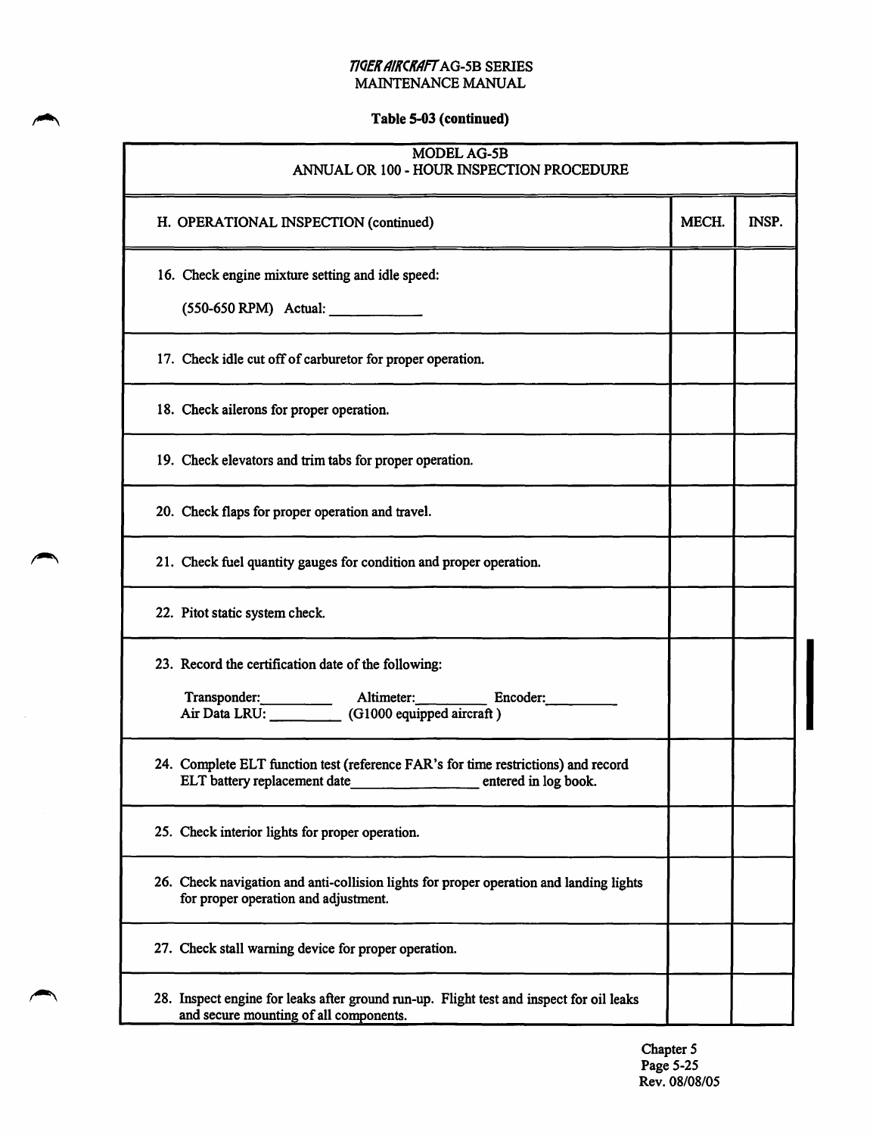# Table 5-03 (continued)

| <b>MODEL AG-5B</b><br>ANNUAL OR 100 - HOUR INSPECTION PROCEDURE                                                                           |       |       |  |
|-------------------------------------------------------------------------------------------------------------------------------------------|-------|-------|--|
| H. OPERATIONAL INSPECTION (continued)                                                                                                     | MECH. | INSP. |  |
| 16. Check engine mixture setting and idle speed:                                                                                          |       |       |  |
| $(550-650$ RPM) Actual: _____________                                                                                                     |       |       |  |
| 17. Check idle cut off of carburetor for proper operation.                                                                                |       |       |  |
| 18. Check ailerons for proper operation.                                                                                                  |       |       |  |
| 19. Check elevators and trim tabs for proper operation.                                                                                   |       |       |  |
| 20. Check flaps for proper operation and travel.                                                                                          |       |       |  |
| 21. Check fuel quantity gauges for condition and proper operation.                                                                        |       |       |  |
| 22. Pitot static system check.                                                                                                            |       |       |  |
| 23. Record the certification date of the following:                                                                                       |       |       |  |
| Transponder: Altimeter: Encoder: Altimeter: Encoder: Air Data LRU: (G1000 equipped aircraft)                                              |       |       |  |
| 24. Complete ELT function test (reference FAR's for time restrictions) and record<br>ELT battery replacement date<br>entered in log book. |       |       |  |
| 25. Check interior lights for proper operation.                                                                                           |       |       |  |
| 26. Check navigation and anti-collision lights for proper operation and landing lights<br>for proper operation and adjustment.            |       |       |  |
| 27. Check stall warning device for proper operation.                                                                                      |       |       |  |
| 28. Inspect engine for leaks after ground run-up. Flight test and inspect for oil leaks<br>and secure mounting of all components.         |       |       |  |

 $\hat{\mathcal{A}}$ 

Chapter 5 Page 5-25 Rev. 08/08/05